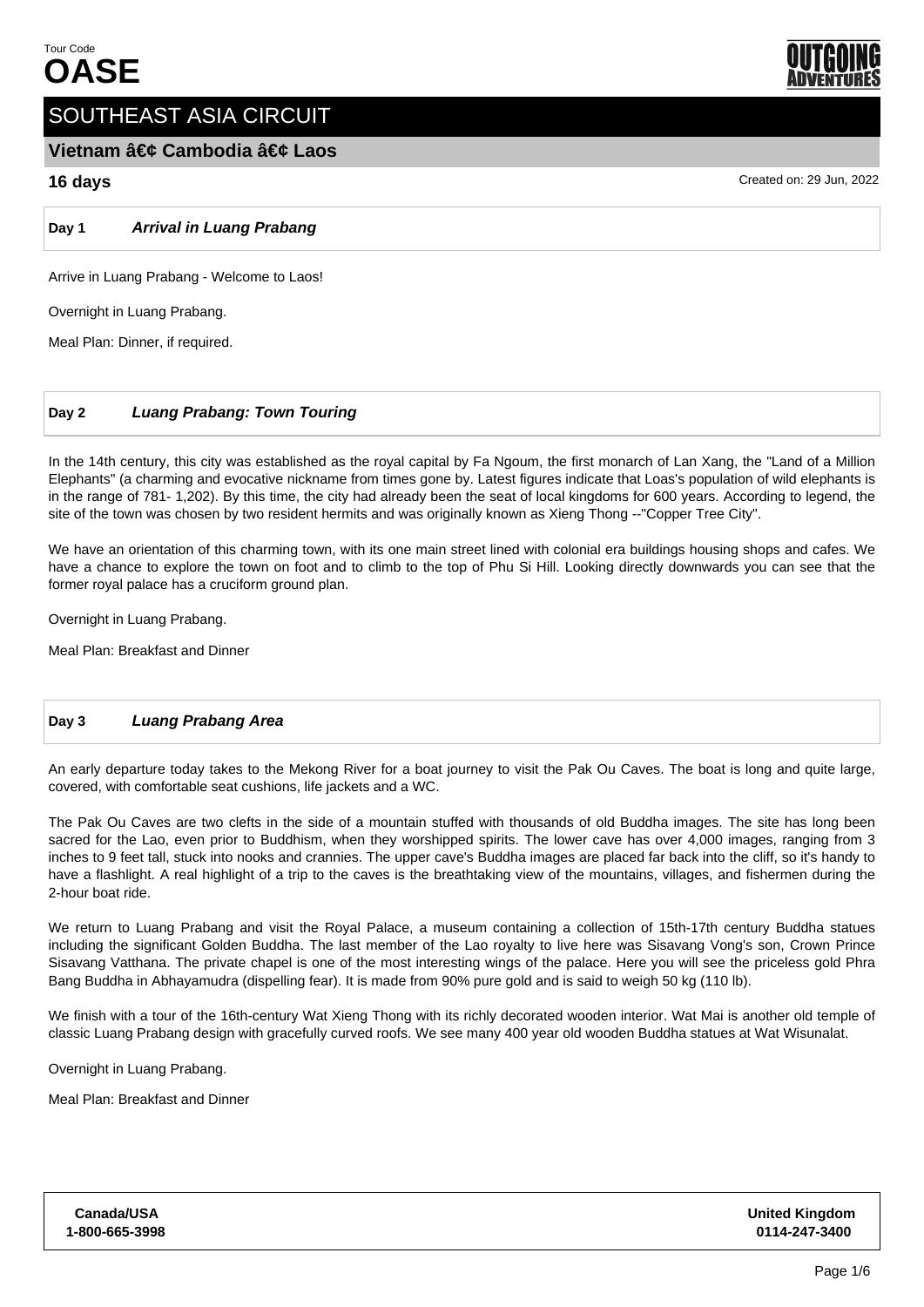

# SOUTHEAST ASIA CIRCUIT

# **Vietnam • Cambodia • Laos**

# **16 days** Created on: 29 Jun, 2022

**Day 1 Arrival in Luang Prabang**

Arrive in Luang Prabang - Welcome to Laos!

Overnight in Luang Prabang.

Meal Plan: Dinner, if required.

# **Day 2 Luang Prabang: Town Touring**

In the 14th century, this city was established as the royal capital by Fa Ngoum, the first monarch of Lan Xang, the "Land of a Million Elephants" (a charming and evocative nickname from times gone by. Latest figures indicate that Loas's population of wild elephants is in the range of 781- 1,202). By this time, the city had already been the seat of local kingdoms for 600 years. According to legend, the site of the town was chosen by two resident hermits and was originally known as Xieng Thong --"Copper Tree City".

We have an orientation of this charming town, with its one main street lined with colonial era buildings housing shops and cafes. We have a chance to explore the town on foot and to climb to the top of Phu Si Hill. Looking directly downwards you can see that the former royal palace has a cruciform ground plan.

Overnight in Luang Prabang.

Meal Plan: Breakfast and Dinner

# **Day 3 Luang Prabang Area**

An early departure today takes to the Mekong River for a boat journey to visit the Pak Ou Caves. The boat is long and quite large, covered, with comfortable seat cushions, life jackets and a WC.

The Pak Ou Caves are two clefts in the side of a mountain stuffed with thousands of old Buddha images. The site has long been sacred for the Lao, even prior to Buddhism, when they worshipped spirits. The lower cave has over 4,000 images, ranging from 3 inches to 9 feet tall, stuck into nooks and crannies. The upper cave's Buddha images are placed far back into the cliff, so it's handy to have a flashlight. A real highlight of a trip to the caves is the breathtaking view of the mountains, villages, and fishermen during the 2-hour boat ride.

We return to Luang Prabang and visit the Royal Palace, a museum containing a collection of 15th-17th century Buddha statues including the significant Golden Buddha. The last member of the Lao royalty to live here was Sisavang Vong's son, Crown Prince Sisavang Vatthana. The private chapel is one of the most interesting wings of the palace. Here you will see the priceless gold Phra Bang Buddha in Abhayamudra (dispelling fear). It is made from 90% pure gold and is said to weigh 50 kg (110 lb).

We finish with a tour of the 16th-century Wat Xieng Thong with its richly decorated wooden interior. Wat Mai is another old temple of classic Luang Prabang design with gracefully curved roofs. We see many 400 year old wooden Buddha statues at Wat Wisunalat.

Overnight in Luang Prabang.

Meal Plan: Breakfast and Dinner

| Canada/USA     |  |
|----------------|--|
| 1-800-665-3998 |  |

**United Kingdom 0114-247-3400**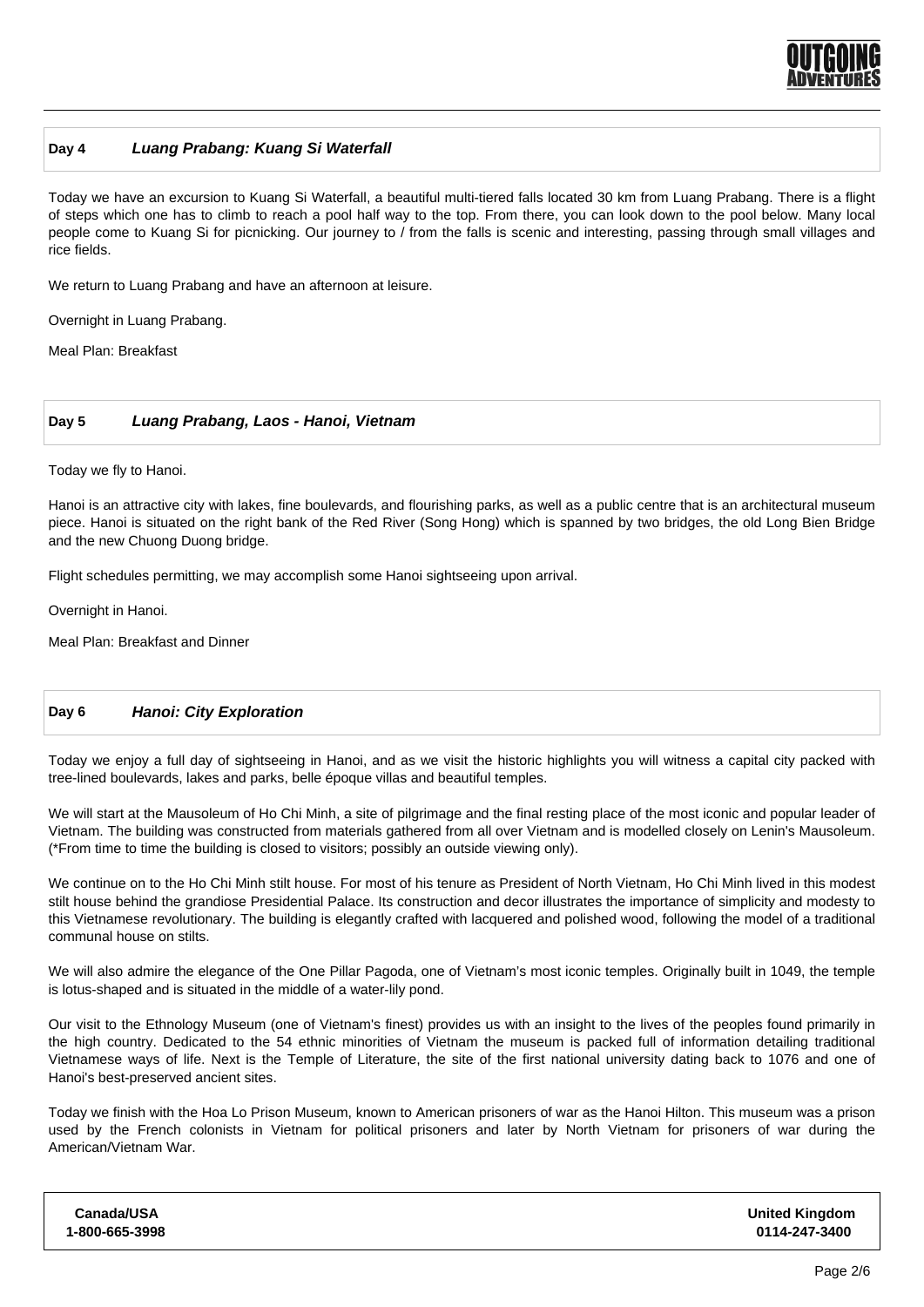

#### **Day 4 Luang Prabang: Kuang Si Waterfall**

Today we have an excursion to Kuang Si Waterfall, a beautiful multi-tiered falls located 30 km from Luang Prabang. There is a flight of steps which one has to climb to reach a pool half way to the top. From there, you can look down to the pool below. Many local people come to Kuang Si for picnicking. Our journey to / from the falls is scenic and interesting, passing through small villages and rice fields.

We return to Luang Prabang and have an afternoon at leisure.

Overnight in Luang Prabang.

Meal Plan: Breakfast

#### **Day 5 Luang Prabang, Laos - Hanoi, Vietnam**

Today we fly to Hanoi.

Hanoi is an attractive city with lakes, fine boulevards, and flourishing parks, as well as a public centre that is an architectural museum piece. Hanoi is situated on the right bank of the Red River (Song Hong) which is spanned by two bridges, the old Long Bien Bridge and the new Chuong Duong bridge.

Flight schedules permitting, we may accomplish some Hanoi sightseeing upon arrival.

Overnight in Hanoi.

Meal Plan: Breakfast and Dinner

#### **Day 6 Hanoi: City Exploration**

Today we enjoy a full day of sightseeing in Hanoi, and as we visit the historic highlights you will witness a capital city packed with tree-lined boulevards, lakes and parks, belle époque villas and beautiful temples.

We will start at the Mausoleum of Ho Chi Minh, a site of pilgrimage and the final resting place of the most iconic and popular leader of Vietnam. The building was constructed from materials gathered from all over Vietnam and is modelled closely on Lenin's Mausoleum. (\*From time to time the building is closed to visitors; possibly an outside viewing only).

We continue on to the Ho Chi Minh stilt house. For most of his tenure as President of North Vietnam, Ho Chi Minh lived in this modest stilt house behind the grandiose Presidential Palace. Its construction and decor illustrates the importance of simplicity and modesty to this Vietnamese revolutionary. The building is elegantly crafted with lacquered and polished wood, following the model of a traditional communal house on stilts.

We will also admire the elegance of the One Pillar Pagoda, one of Vietnam's most iconic temples. Originally built in 1049, the temple is lotus-shaped and is situated in the middle of a water-lily pond.

Our visit to the Ethnology Museum (one of Vietnam's finest) provides us with an insight to the lives of the peoples found primarily in the high country. Dedicated to the 54 ethnic minorities of Vietnam the museum is packed full of information detailing traditional Vietnamese ways of life. Next is the Temple of Literature, the site of the first national university dating back to 1076 and one of Hanoi's best-preserved ancient sites.

Today we finish with the Hoa Lo Prison Museum, known to American prisoners of war as the Hanoi Hilton. This museum was a prison used by the French colonists in Vietnam for political prisoners and later by North Vietnam for prisoners of war during the American/Vietnam War.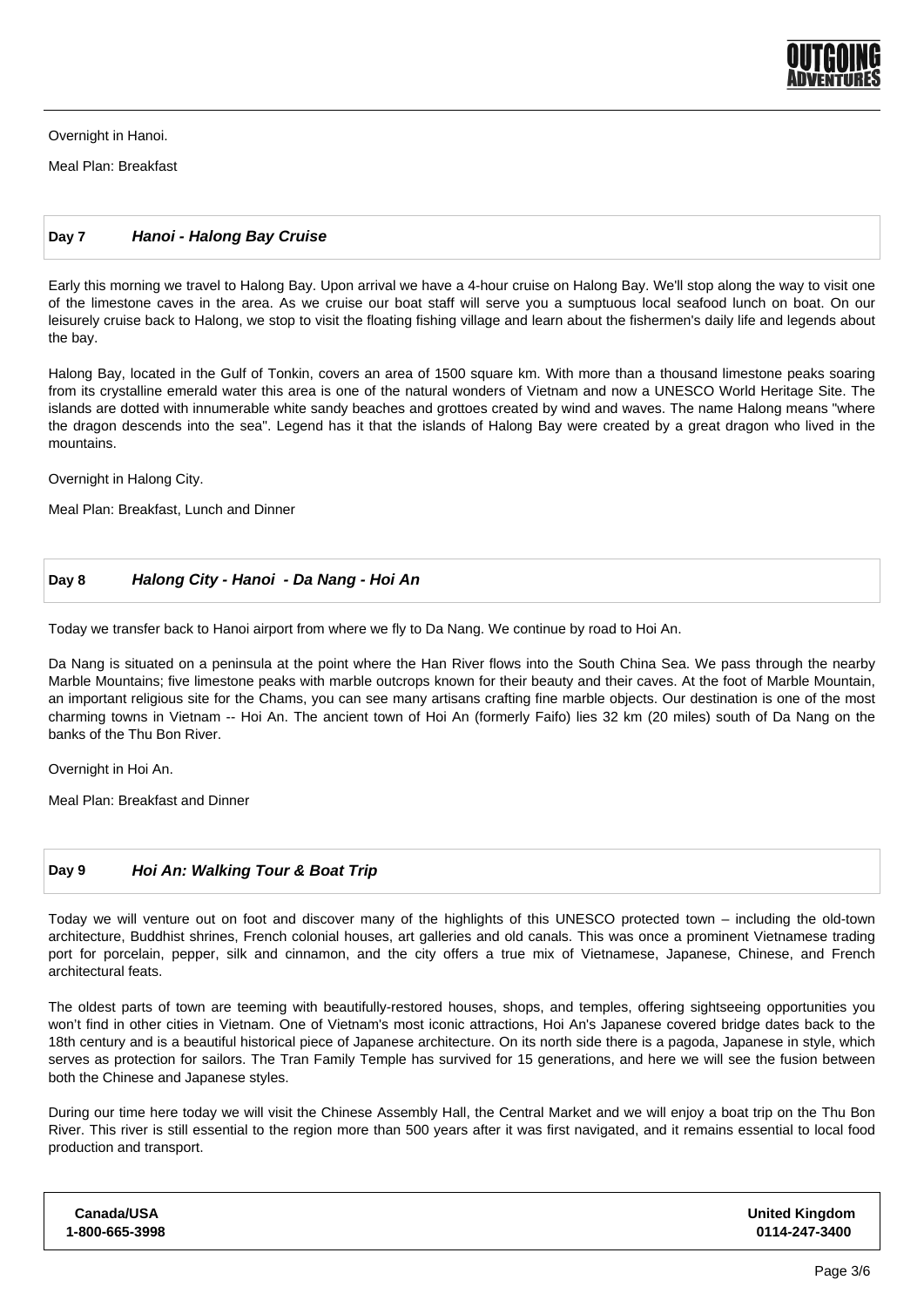

Overnight in Hanoi.

Meal Plan: Breakfast

#### **Day 7 Hanoi - Halong Bay Cruise**

Early this morning we travel to Halong Bay. Upon arrival we have a 4-hour cruise on Halong Bay. We'll stop along the way to visit one of the limestone caves in the area. As we cruise our boat staff will serve you a sumptuous local seafood lunch on boat. On our leisurely cruise back to Halong, we stop to visit the floating fishing village and learn about the fishermen's daily life and legends about the bay.

Halong Bay, located in the Gulf of Tonkin, covers an area of 1500 square km. With more than a thousand limestone peaks soaring from its crystalline emerald water this area is one of the natural wonders of Vietnam and now a UNESCO World Heritage Site. The islands are dotted with innumerable white sandy beaches and grottoes created by wind and waves. The name Halong means "where the dragon descends into the sea". Legend has it that the islands of Halong Bay were created by a great dragon who lived in the mountains.

Overnight in Halong City.

Meal Plan: Breakfast, Lunch and Dinner

#### **Day 8 Halong City - Hanoi - Da Nang - Hoi An**

Today we transfer back to Hanoi airport from where we fly to Da Nang. We continue by road to Hoi An.

Da Nang is situated on a peninsula at the point where the Han River flows into the South China Sea. We pass through the nearby Marble Mountains; five limestone peaks with marble outcrops known for their beauty and their caves. At the foot of Marble Mountain, an important religious site for the Chams, you can see many artisans crafting fine marble objects. Our destination is one of the most charming towns in Vietnam -- Hoi An. The ancient town of Hoi An (formerly Faifo) lies 32 km (20 miles) south of Da Nang on the banks of the Thu Bon River.

Overnight in Hoi An.

Meal Plan: Breakfast and Dinner

# **Day 9 Hoi An: Walking Tour & Boat Trip**

Today we will venture out on foot and discover many of the highlights of this UNESCO protected town – including the old-town architecture, Buddhist shrines, French colonial houses, art galleries and old canals. This was once a prominent Vietnamese trading port for porcelain, pepper, silk and cinnamon, and the city offers a true mix of Vietnamese, Japanese, Chinese, and French architectural feats.

The oldest parts of town are teeming with beautifully-restored houses, shops, and temples, offering sightseeing opportunities you won't find in other cities in Vietnam. One of Vietnam's most iconic attractions, Hoi An's Japanese covered bridge dates back to the 18th century and is a beautiful historical piece of Japanese architecture. On its north side there is a pagoda, Japanese in style, which serves as protection for sailors. The Tran Family Temple has survived for 15 generations, and here we will see the fusion between both the Chinese and Japanese styles.

During our time here today we will visit the Chinese Assembly Hall, the Central Market and we will enjoy a boat trip on the Thu Bon River. This river is still essential to the region more than 500 years after it was first navigated, and it remains essential to local food production and transport.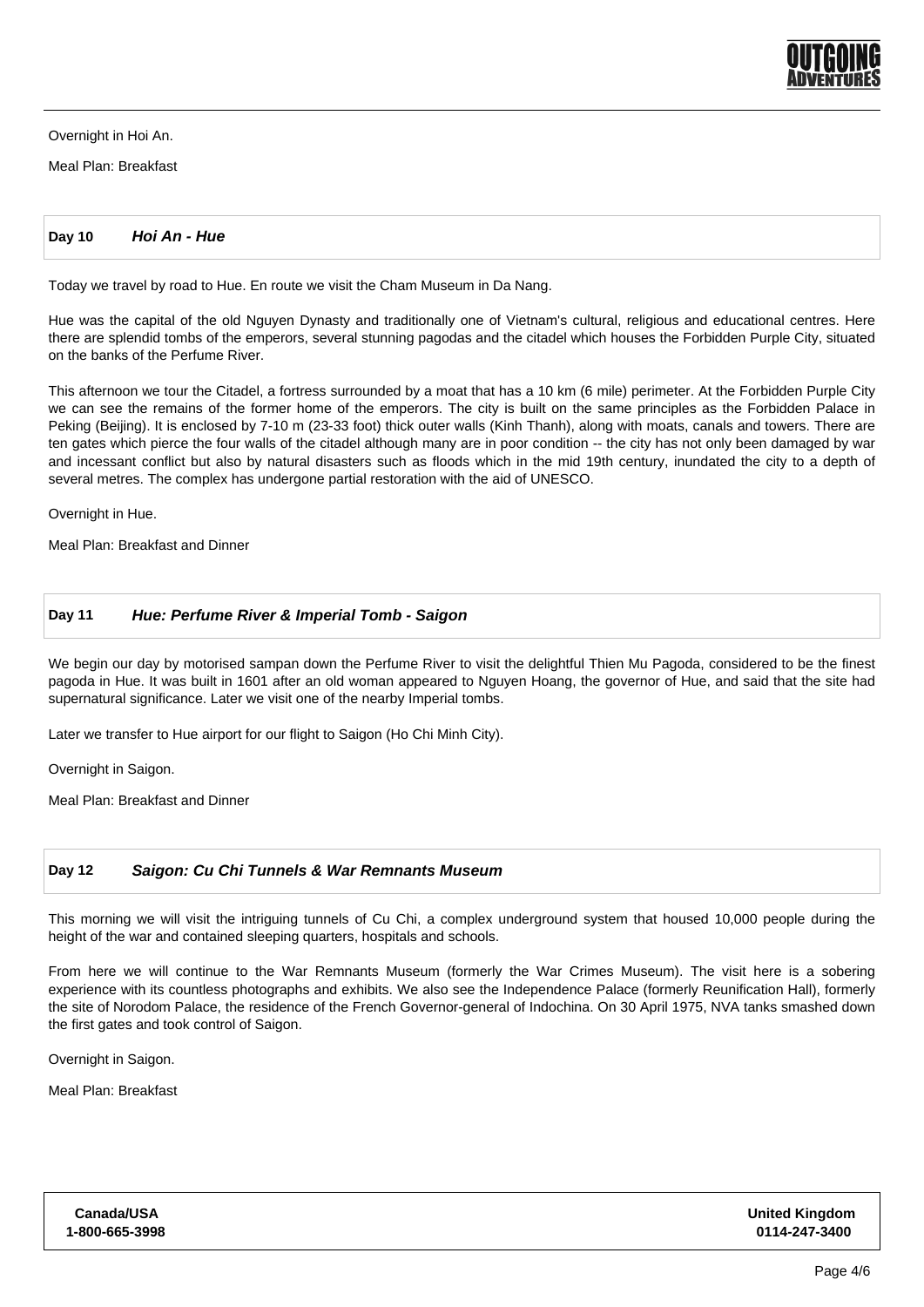

Overnight in Hoi An.

Meal Plan: Breakfast

**Day 10 Hoi An - Hue**

Today we travel by road to Hue. En route we visit the Cham Museum in Da Nang.

Hue was the capital of the old Nguyen Dynasty and traditionally one of Vietnam's cultural, religious and educational centres. Here there are splendid tombs of the emperors, several stunning pagodas and the citadel which houses the Forbidden Purple City, situated on the banks of the Perfume River.

This afternoon we tour the Citadel, a fortress surrounded by a moat that has a 10 km (6 mile) perimeter. At the Forbidden Purple City we can see the remains of the former home of the emperors. The city is built on the same principles as the Forbidden Palace in Peking (Beijing). It is enclosed by 7-10 m (23-33 foot) thick outer walls (Kinh Thanh), along with moats, canals and towers. There are ten gates which pierce the four walls of the citadel although many are in poor condition -- the city has not only been damaged by war and incessant conflict but also by natural disasters such as floods which in the mid 19th century, inundated the city to a depth of several metres. The complex has undergone partial restoration with the aid of UNESCO.

Overnight in Hue.

Meal Plan: Breakfast and Dinner

#### **Day 11 Hue: Perfume River & Imperial Tomb - Saigon**

We begin our day by motorised sampan down the Perfume River to visit the delightful Thien Mu Pagoda, considered to be the finest pagoda in Hue. It was built in 1601 after an old woman appeared to Nguyen Hoang, the governor of Hue, and said that the site had supernatural significance. Later we visit one of the nearby Imperial tombs.

Later we transfer to Hue airport for our flight to Saigon (Ho Chi Minh City).

Overnight in Saigon.

Meal Plan: Breakfast and Dinner

#### **Day 12 Saigon: Cu Chi Tunnels & War Remnants Museum**

This morning we will visit the intriguing tunnels of Cu Chi, a complex underground system that housed 10,000 people during the height of the war and contained sleeping quarters, hospitals and schools.

From here we will continue to the War Remnants Museum (formerly the War Crimes Museum). The visit here is a sobering experience with its countless photographs and exhibits. We also see the Independence Palace (formerly Reunification Hall), formerly the site of Norodom Palace, the residence of the French Governor-general of Indochina. On 30 April 1975, NVA tanks smashed down the first gates and took control of Saigon.

Overnight in Saigon.

Meal Plan: Breakfast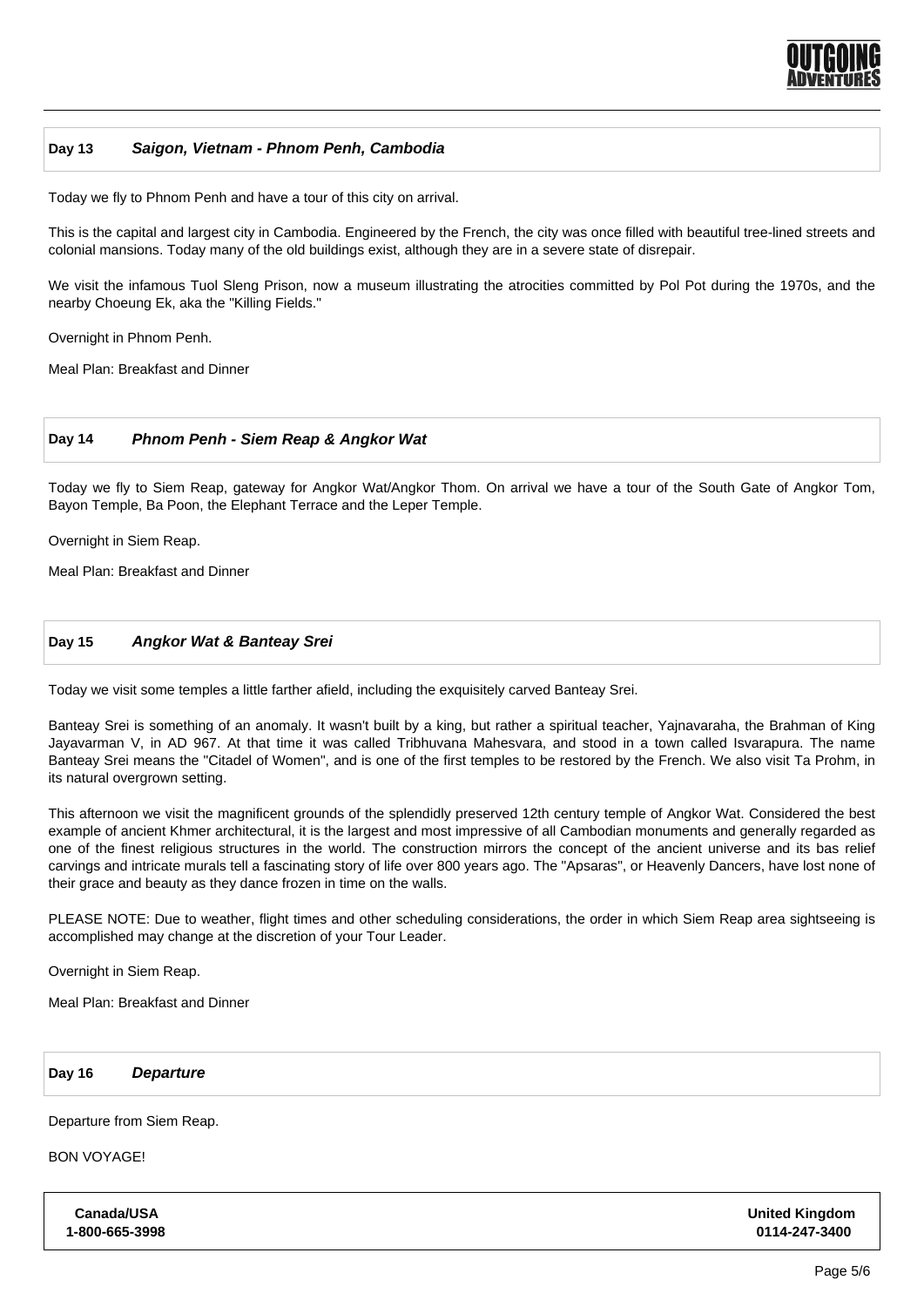

#### **Day 13 Saigon, Vietnam - Phnom Penh, Cambodia**

Today we fly to Phnom Penh and have a tour of this city on arrival.

This is the capital and largest city in Cambodia. Engineered by the French, the city was once filled with beautiful tree-lined streets and colonial mansions. Today many of the old buildings exist, although they are in a severe state of disrepair.

We visit the infamous Tuol Sleng Prison, now a museum illustrating the atrocities committed by Pol Pot during the 1970s, and the nearby Choeung Ek, aka the "Killing Fields."

Overnight in Phnom Penh.

Meal Plan: Breakfast and Dinner

#### **Day 14 Phnom Penh - Siem Reap & Angkor Wat**

Today we fly to Siem Reap, gateway for Angkor Wat/Angkor Thom. On arrival we have a tour of the South Gate of Angkor Tom, Bayon Temple, Ba Poon, the Elephant Terrace and the Leper Temple.

Overnight in Siem Reap.

Meal Plan: Breakfast and Dinner

### **Day 15 Angkor Wat & Banteay Srei**

Today we visit some temples a little farther afield, including the exquisitely carved Banteay Srei.

Banteay Srei is something of an anomaly. It wasn't built by a king, but rather a spiritual teacher, Yajnavaraha, the Brahman of King Jayavarman V, in AD 967. At that time it was called Tribhuvana Mahesvara, and stood in a town called Isvarapura. The name Banteay Srei means the "Citadel of Women", and is one of the first temples to be restored by the French. We also visit Ta Prohm, in its natural overgrown setting.

This afternoon we visit the magnificent grounds of the splendidly preserved 12th century temple of Angkor Wat. Considered the best example of ancient Khmer architectural, it is the largest and most impressive of all Cambodian monuments and generally regarded as one of the finest religious structures in the world. The construction mirrors the concept of the ancient universe and its bas relief carvings and intricate murals tell a fascinating story of life over 800 years ago. The "Apsaras", or Heavenly Dancers, have lost none of their grace and beauty as they dance frozen in time on the walls.

PLEASE NOTE: Due to weather, flight times and other scheduling considerations, the order in which Siem Reap area sightseeing is accomplished may change at the discretion of your Tour Leader.

Overnight in Siem Reap.

Meal Plan: Breakfast and Dinner

**Day 16 Departure**

Departure from Siem Reap.

BON VOYAGE!

**Canada/USA 1-800-665-3998** **United Kingdom 0114-247-3400**